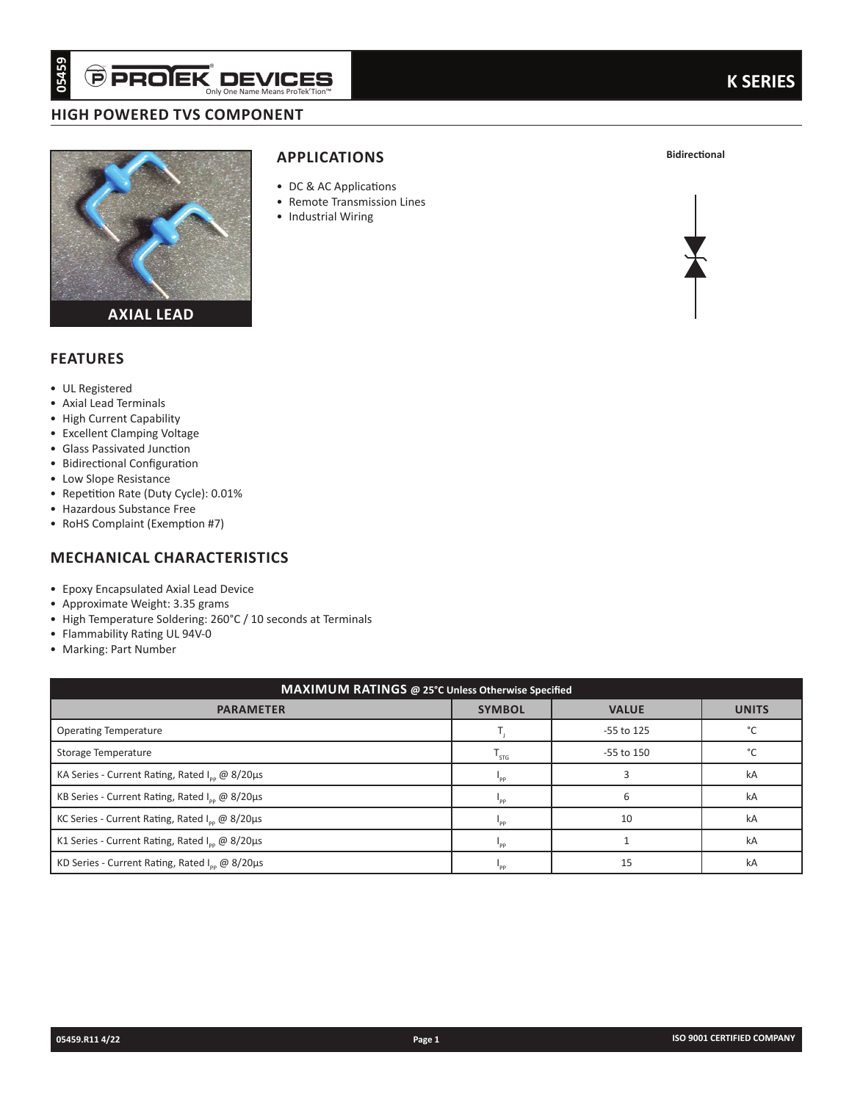# **high powered tvs component**



# **applications**

- DC & AC Applications
- Remote Transmission Lines
- Industrial Wiring



## **Features**

- • UL Registered
- • Axial Lead Terminals
- • High Current Capability
- • Excellent Clamping Voltage
- • Glass Passivated Junction
- • Bidirectional Configuration
- • Low Slope Resistance
- • Repetition Rate (Duty Cycle): 0.01%
- • Hazardous Substance Free
- RoHS Complaint (Exemption #7)

## **mechanical characteristics**

- • Epoxy Encapsulated Axial Lead Device
- • Approximate Weight: 3.35 grams
- High Temperature Soldering: 260°C / 10 seconds at Terminals
- • Flammability Rating UL 94V-0
- • Marking: Part Number

| 05459<br><b>PPROJEK DE</b>                                                                                                                                                                                                                                                                                                                                                                                                                                                                                                                                 | Only One Name Means ProTek'Tion"                                                                    |        |                                                   |              | <b>K SERIES</b>            |
|------------------------------------------------------------------------------------------------------------------------------------------------------------------------------------------------------------------------------------------------------------------------------------------------------------------------------------------------------------------------------------------------------------------------------------------------------------------------------------------------------------------------------------------------------------|-----------------------------------------------------------------------------------------------------|--------|---------------------------------------------------|--------------|----------------------------|
| <b>HIGH POWERED TVS COMPONENT</b>                                                                                                                                                                                                                                                                                                                                                                                                                                                                                                                          |                                                                                                     |        |                                                   |              |                            |
| <b>AXIAL LEAD</b>                                                                                                                                                                                                                                                                                                                                                                                                                                                                                                                                          | <b>APPLICATIONS</b><br>• DC & AC Applications<br>• Remote Transmission Lines<br>• Industrial Wiring |        |                                                   |              | <b>Bidirectional</b>       |
| <b>FEATURES</b>                                                                                                                                                                                                                                                                                                                                                                                                                                                                                                                                            |                                                                                                     |        |                                                   |              |                            |
| • UL Registered<br>• Axial Lead Terminals<br>• High Current Capability<br>• Excellent Clamping Voltage<br>• Glass Passivated Junction<br>• Bidirectional Configuration<br>• Low Slope Resistance<br>• Repetition Rate (Duty Cycle): 0.01%<br>• Hazardous Substance Free<br>• RoHS Complaint (Exemption #7)<br><b>MECHANICAL CHARACTERISTICS</b><br>• Epoxy Encapsulated Axial Lead Device<br>• Approximate Weight: 3.35 grams<br>• High Temperature Soldering: 260°C / 10 seconds at Terminals<br>• Flammability Rating UL 94V-0<br>• Marking: Part Number |                                                                                                     |        |                                                   |              |                            |
|                                                                                                                                                                                                                                                                                                                                                                                                                                                                                                                                                            |                                                                                                     |        | MAXIMUM RATINGS @ 25°C Unless Otherwise Specified |              |                            |
| <b>PARAMETER</b>                                                                                                                                                                                                                                                                                                                                                                                                                                                                                                                                           |                                                                                                     |        | <b>SYMBOL</b>                                     | <b>VALUE</b> | <b>UNITS</b>               |
| <b>Operating Temperature</b>                                                                                                                                                                                                                                                                                                                                                                                                                                                                                                                               |                                                                                                     |        | $\mathsf{T}_{\mathsf{j}}$                         | -55 to 125   | $^{\circ}$ C               |
| Storage Temperature                                                                                                                                                                                                                                                                                                                                                                                                                                                                                                                                        |                                                                                                     |        | $\mathsf{T}_{\mathsf{STG}}$                       | -55 to 150   | $^{\circ}{\rm C}$          |
| KA Series - Current Rating, Rated I <sub>pp</sub> @ 8/20µs                                                                                                                                                                                                                                                                                                                                                                                                                                                                                                 |                                                                                                     |        | $\boldsymbol{\mathsf{I}}_{\mathsf{pp}}$           | 3            | kA                         |
| KB Series - Current Rating, Rated I <sub>pp</sub> @ 8/20µs                                                                                                                                                                                                                                                                                                                                                                                                                                                                                                 |                                                                                                     |        | $I_{\rm pp}$                                      | 6            | kA                         |
| KC Series - Current Rating, Rated I <sub>pp</sub> @ 8/20µs                                                                                                                                                                                                                                                                                                                                                                                                                                                                                                 |                                                                                                     |        | $I_{\rm pp}$                                      | 10           | kA                         |
| K1 Series - Current Rating, Rated I <sub>pp</sub> @ 8/20µs                                                                                                                                                                                                                                                                                                                                                                                                                                                                                                 |                                                                                                     |        | $\mathsf{I}_{\mathsf{pp}}$                        | $\mathbf{1}$ | kA                         |
| KD Series - Current Rating, Rated I <sub>pp</sub> @ 8/20µs                                                                                                                                                                                                                                                                                                                                                                                                                                                                                                 |                                                                                                     |        | $\mathsf{I}_{\mathsf{pp}}$                        | 15           | kA                         |
|                                                                                                                                                                                                                                                                                                                                                                                                                                                                                                                                                            |                                                                                                     |        |                                                   |              |                            |
| 05459.R11 4/22                                                                                                                                                                                                                                                                                                                                                                                                                                                                                                                                             |                                                                                                     | Page 1 |                                                   |              | ISO 9001 CERTIFIED COMPANY |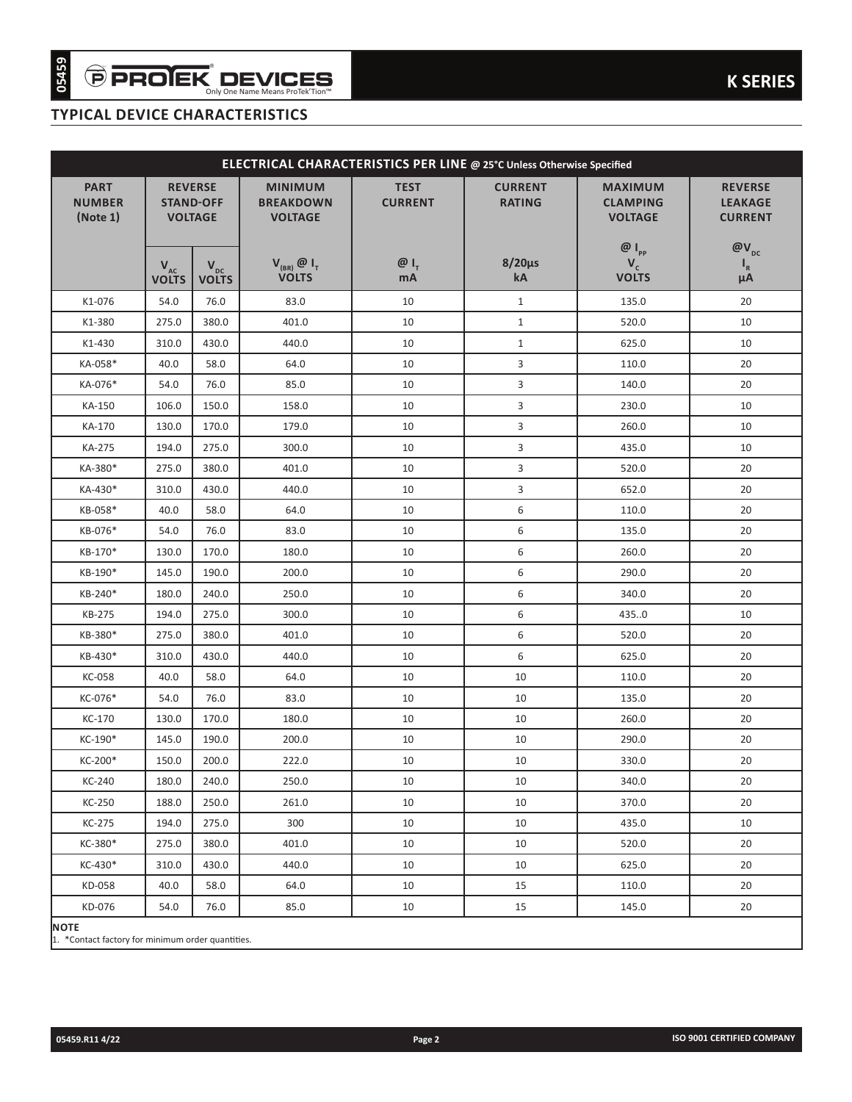# **typical device characteristics**

|                                                                  |                                          |                                                      | ELECTRICAL CHARACTERISTICS PER LINE @ 25°C Unless Otherwise Specified |                               |                                 |                                                     |                                                    |
|------------------------------------------------------------------|------------------------------------------|------------------------------------------------------|-----------------------------------------------------------------------|-------------------------------|---------------------------------|-----------------------------------------------------|----------------------------------------------------|
| <b>PART</b><br><b>NUMBER</b><br>(Note 1)                         |                                          | <b>REVERSE</b><br><b>STAND-OFF</b><br><b>VOLTAGE</b> | <b>MINIMUM</b><br><b>BREAKDOWN</b><br><b>VOLTAGE</b>                  | <b>TEST</b><br><b>CURRENT</b> | <b>CURRENT</b><br><b>RATING</b> | <b>MAXIMUM</b><br><b>CLAMPING</b><br><b>VOLTAGE</b> | <b>REVERSE</b><br><b>LEAKAGE</b><br><b>CURRENT</b> |
|                                                                  | $\mathbf{V}_{\text{AC}}$<br><b>VOLTS</b> | $V_{\text{pc}}$<br><b>VOLTS</b>                      | $V_{(BR)}$ $\omega$ $I_{T}$<br><b>VOLTS</b>                           | $@I_{T}$<br>mA                | $8/20\mu s$<br>kA               | $@I_{_{\text{PP}}}$<br>$V_c$<br><b>VOLTS</b>        | $@V_{DC}$<br>$\mathsf{I}_{\mathsf{R}}$<br>μA       |
| K1-076                                                           | 54.0                                     | 76.0                                                 | 83.0                                                                  | 10                            | $\mathbf{1}$                    | 135.0                                               | 20                                                 |
| K1-380                                                           | 275.0                                    | 380.0                                                | 401.0                                                                 | 10                            | $\mathbf{1}$                    | 520.0                                               | 10                                                 |
| $K1-430$                                                         | 310.0                                    | 430.0                                                | 440.0                                                                 | 10                            | $\mathbf{1}$                    | 625.0                                               | 10                                                 |
| KA-058*                                                          | 40.0                                     | 58.0                                                 | 64.0                                                                  | 10                            | 3                               | 110.0                                               | 20                                                 |
| KA-076*                                                          | 54.0                                     | 76.0                                                 | 85.0                                                                  | 10                            | 3                               | 140.0                                               | 20                                                 |
| KA-150                                                           | 106.0                                    | 150.0                                                | 158.0                                                                 | 10                            | 3                               | 230.0                                               | 10                                                 |
| KA-170                                                           | 130.0                                    | 170.0                                                | 179.0                                                                 | 10                            | 3                               | 260.0                                               | 10                                                 |
| KA-275                                                           | 194.0                                    | 275.0                                                | 300.0                                                                 | 10                            | 3                               | 435.0                                               | 10                                                 |
| KA-380*                                                          | 275.0                                    | 380.0                                                | 401.0                                                                 | 10                            | 3                               | 520.0                                               | 20                                                 |
| KA-430*                                                          | 310.0                                    | 430.0                                                | 440.0                                                                 | 10                            | 3                               | 652.0                                               | 20                                                 |
| KB-058*                                                          | 40.0                                     | 58.0                                                 | 64.0                                                                  | 10                            | 6                               | 110.0                                               | 20                                                 |
| KB-076*                                                          | 54.0                                     | 76.0                                                 | 83.0                                                                  | 10                            | 6                               | 135.0                                               | 20                                                 |
| KB-170*                                                          | 130.0                                    | 170.0                                                | 180.0                                                                 | 10                            | 6                               | 260.0                                               | 20                                                 |
| KB-190*                                                          | 145.0                                    | 190.0                                                | 200.0                                                                 | 10                            | 6                               | 290.0                                               | 20                                                 |
| KB-240*                                                          | 180.0                                    | 240.0                                                | 250.0                                                                 | 10                            | 6                               | 340.0                                               | 20                                                 |
| KB-275                                                           | 194.0                                    | 275.0                                                | 300.0                                                                 | 10                            | 6                               | 435.0                                               | 10                                                 |
| KB-380*                                                          | 275.0                                    | 380.0                                                | 401.0                                                                 | 10                            | 6                               | 520.0                                               | 20                                                 |
| KB-430*                                                          | 310.0                                    | 430.0                                                | 440.0                                                                 | 10                            | 6                               | 625.0                                               | 20                                                 |
| <b>KC-058</b>                                                    | 40.0                                     | 58.0                                                 | 64.0                                                                  | 10                            | 10                              | 110.0                                               | 20                                                 |
| KC-076*                                                          | 54.0                                     | 76.0                                                 | 83.0                                                                  | 10                            | 10                              | 135.0                                               | 20                                                 |
| KC-170                                                           | 130.0                                    | 170.0                                                | 180.0                                                                 | 10                            | 10                              | 260.0                                               | 20                                                 |
| KC-190*                                                          | 145.0                                    | 190.0                                                | 200.0                                                                 | 10                            | 10                              | 290.0                                               | 20                                                 |
| KC-200*                                                          | 150.0                                    | 200.0                                                | 222.0                                                                 | 10                            | 10                              | 330.0                                               | 20                                                 |
| KC-240                                                           | 180.0                                    | 240.0                                                | 250.0                                                                 | 10                            | 10                              | 340.0                                               | 20                                                 |
| KC-250                                                           | 188.0                                    | 250.0                                                | 261.0                                                                 | 10                            | 10                              | 370.0                                               | 20                                                 |
| KC-275                                                           | 194.0                                    | 275.0                                                | 300                                                                   | 10                            | 10                              | 435.0                                               | 10                                                 |
| KC-380*                                                          | 275.0                                    | 380.0                                                | 401.0                                                                 | 10                            | 10                              | 520.0                                               | 20                                                 |
| KC-430*                                                          | 310.0                                    | 430.0                                                | 440.0                                                                 | 10                            | 10                              | 625.0                                               | 20                                                 |
| KD-058                                                           | 40.0                                     | 58.0                                                 | 64.0                                                                  | 10                            | 15                              | 110.0                                               | 20                                                 |
| KD-076                                                           | 54.0                                     | 76.0                                                 | 85.0                                                                  | 10                            | 15                              | 145.0                                               | 20                                                 |
| <b>NOTE</b><br>1. *Contact factory for minimum order quantities. |                                          |                                                      |                                                                       |                               |                                 |                                                     |                                                    |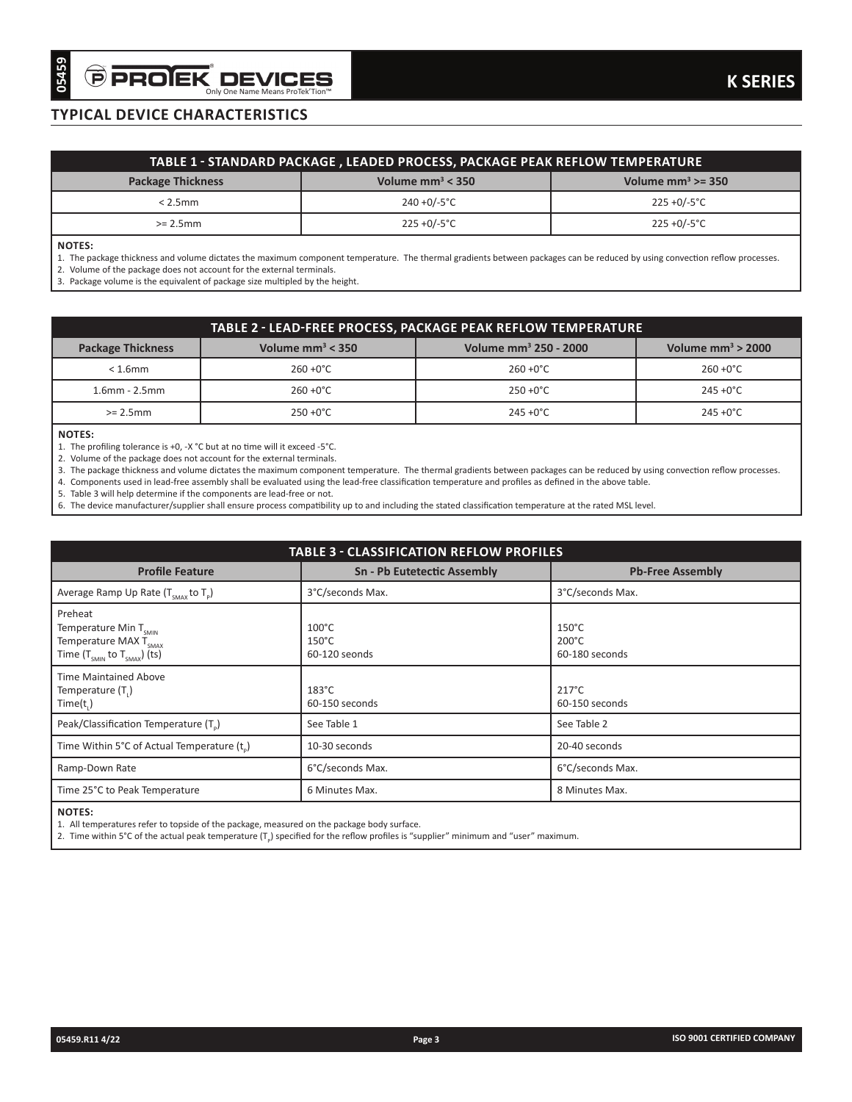# **typical device characteristics**

| TABLE 1 - STANDARD PACKAGE , LEADED PROCESS, PACKAGE PEAK REFLOW TEMPERATURE    |                 |                 |  |  |  |
|---------------------------------------------------------------------------------|-----------------|-----------------|--|--|--|
| Volume $\text{mm}^3$ < 350<br>Volume $mm^3 \ge 350$<br><b>Package Thickness</b> |                 |                 |  |  |  |
| $< 2.5$ mm                                                                      | $240 + 0/-5$ °C | 225 + 0/-5 ° C  |  |  |  |
| $>= 2.5$ mm                                                                     | $225 + 0/-5$ °C | $225 + 0/-5$ °C |  |  |  |

#### **Notes:**

| TABLE 2 - LEAD-FREE PROCESS, PACKAGE PEAK REFLOW TEMPERATURE |                                                                                  |                     |                     |  |  |
|--------------------------------------------------------------|----------------------------------------------------------------------------------|---------------------|---------------------|--|--|
| <b>Package Thickness</b>                                     | Volume mm <sup>3</sup> 250 - 2000<br>Volume $mm^3$ < 350<br>Volume $mm^3 > 2000$ |                     |                     |  |  |
| $< 1.6$ mm                                                   | $260 + 0^{\circ}$ C                                                              | $260 + 0^{\circ}$ C | $260 + 0^{\circ}C$  |  |  |
| $1.6$ mm - $2.5$ mm                                          | $260 + 0^{\circ}$ C                                                              | $250 + 0^{\circ}$ C | $245 + 0^{\circ}$ C |  |  |
| $>= 2.5$ mm                                                  | $250 + 0^{\circ}C$                                                               | $245 + 0^{\circ}$ C | $245 + 0^{\circ}C$  |  |  |

### **Notes:**

| 05459<br><b>PROJEK DEVICES</b>                                                                                                                                                                                                                  | Only One Name Means ProTek'Tion"                                                                                                                                                                                                                                                                                                                                                                                                                                                                  |                                                 |                  | <b>K SERIES</b>                                      |  |
|-------------------------------------------------------------------------------------------------------------------------------------------------------------------------------------------------------------------------------------------------|---------------------------------------------------------------------------------------------------------------------------------------------------------------------------------------------------------------------------------------------------------------------------------------------------------------------------------------------------------------------------------------------------------------------------------------------------------------------------------------------------|-------------------------------------------------|------------------|------------------------------------------------------|--|
| <b>TYPICAL DEVICE CHARACTERISTICS</b>                                                                                                                                                                                                           |                                                                                                                                                                                                                                                                                                                                                                                                                                                                                                   |                                                 |                  |                                                      |  |
|                                                                                                                                                                                                                                                 |                                                                                                                                                                                                                                                                                                                                                                                                                                                                                                   |                                                 |                  |                                                      |  |
|                                                                                                                                                                                                                                                 | TABLE 1 - STANDARD PACKAGE , LEADED PROCESS, PACKAGE PEAK REFLOW TEMPERATURE                                                                                                                                                                                                                                                                                                                                                                                                                      |                                                 |                  |                                                      |  |
| <b>Package Thickness</b>                                                                                                                                                                                                                        |                                                                                                                                                                                                                                                                                                                                                                                                                                                                                                   | Volume $mm^3$ < 350                             |                  | Volume $mm^3 \ge 350$                                |  |
| $< 2.5$ mm                                                                                                                                                                                                                                      |                                                                                                                                                                                                                                                                                                                                                                                                                                                                                                   | $240 + 0/-5$ °C                                 |                  | $225 + 0/-5$ °C                                      |  |
| $>= 2.5mm$                                                                                                                                                                                                                                      |                                                                                                                                                                                                                                                                                                                                                                                                                                                                                                   | $225 + 0/-5$ °C                                 | $225 + 0/-5$ °C  |                                                      |  |
| <b>NOTES:</b><br>2. Volume of the package does not account for the external terminals.<br>3. Package volume is the equivalent of package size multipled by the height.                                                                          | 1. The package thickness and volume dictates the maximum component temperature. The thermal gradients between packages can be reduced by using convection reflow processes.                                                                                                                                                                                                                                                                                                                       |                                                 |                  |                                                      |  |
|                                                                                                                                                                                                                                                 |                                                                                                                                                                                                                                                                                                                                                                                                                                                                                                   |                                                 |                  |                                                      |  |
| <b>Package Thickness</b>                                                                                                                                                                                                                        | TABLE 2 - LEAD-FREE PROCESS, PACKAGE PEAK REFLOW TEMPERATURE<br>Volume $mm^3$ < 350                                                                                                                                                                                                                                                                                                                                                                                                               | Volume mm <sup>3</sup> 250 - 2000               |                  | Volume $mm3$ > 2000                                  |  |
| $< 1.6$ mm                                                                                                                                                                                                                                      | $260 + 0^{\circ}C$                                                                                                                                                                                                                                                                                                                                                                                                                                                                                | $260 + 0^{\circ}C$                              |                  | $260 + 0^{\circ}C$                                   |  |
| $1.6$ mm - $2.5$ mm                                                                                                                                                                                                                             | $260 + 0^{\circ}C$                                                                                                                                                                                                                                                                                                                                                                                                                                                                                | $250 + 0^{\circ}C$                              |                  | $245 +0^{\circ}C$                                    |  |
| $>= 2.5mm$                                                                                                                                                                                                                                      | $250 + 0^{\circ}C$                                                                                                                                                                                                                                                                                                                                                                                                                                                                                | $245 + 0^{\circ}C$                              |                  | $245 + 0^{\circ}C$                                   |  |
| <b>NOTES:</b><br>1. The profiling tolerance is +0, -X °C but at no time will it exceed -5°C.<br>2. Volume of the package does not account for the external terminals.<br>5. Table 3 will help determine if the components are lead-free or not. | 3. The package thickness and volume dictates the maximum component temperature. The thermal gradients between packages can be reduced by using convection reflow processes.<br>4. Components used in lead-free assembly shall be evaluated using the lead-free classification temperature and profiles as defined in the above table.<br>6. The device manufacturer/supplier shall ensure process compatibility up to and including the stated classification temperature at the rated MSL level. |                                                 |                  |                                                      |  |
|                                                                                                                                                                                                                                                 |                                                                                                                                                                                                                                                                                                                                                                                                                                                                                                   |                                                 |                  |                                                      |  |
|                                                                                                                                                                                                                                                 |                                                                                                                                                                                                                                                                                                                                                                                                                                                                                                   | <b>TABLE 3 - CLASSIFICATION REFLOW PROFILES</b> |                  |                                                      |  |
| <b>Profile Feature</b>                                                                                                                                                                                                                          |                                                                                                                                                                                                                                                                                                                                                                                                                                                                                                   | <b>Sn - Pb Eutetectic Assembly</b>              |                  | <b>Pb-Free Assembly</b>                              |  |
| Average Ramp Up Rate $(T_{smax}$ to T <sub>P</sub> )                                                                                                                                                                                            | 3°C/seconds Max.                                                                                                                                                                                                                                                                                                                                                                                                                                                                                  |                                                 | 3°C/seconds Max. |                                                      |  |
| Preheat<br>Temperature Min T <sub>SMIN</sub><br>Temperature MAX $\overline{T}_{\text{SMAX}}$<br>Time $(T_{smin}$ to $T_{smax})$ (ts)                                                                                                            | $100^{\circ}$ C<br>$150^{\circ}$ C<br>60-120 seonds                                                                                                                                                                                                                                                                                                                                                                                                                                               |                                                 |                  | $150^{\circ}$ C<br>$200^{\circ}$ C<br>60-180 seconds |  |
| <b>Time Maintained Above</b><br>Temperature $(T_1)$<br>Time(t)                                                                                                                                                                                  | $183^{\circ}$ C<br>60-150 seconds                                                                                                                                                                                                                                                                                                                                                                                                                                                                 |                                                 |                  | $217^{\circ}$ C<br>60-150 seconds                    |  |
| Peak/Classification Temperature (T.)                                                                                                                                                                                                            | See Table 1                                                                                                                                                                                                                                                                                                                                                                                                                                                                                       |                                                 |                  | See Table 2                                          |  |
| Time Within 5°C of Actual Temperature (t.)                                                                                                                                                                                                      | 10-30 seconds                                                                                                                                                                                                                                                                                                                                                                                                                                                                                     |                                                 |                  | 20-40 seconds                                        |  |
| Ramp-Down Rate                                                                                                                                                                                                                                  | 6°C/seconds Max.                                                                                                                                                                                                                                                                                                                                                                                                                                                                                  |                                                 |                  | 6°C/seconds Max.                                     |  |
| Time 25°C to Peak Temperature                                                                                                                                                                                                                   | 6 Minutes Max.                                                                                                                                                                                                                                                                                                                                                                                                                                                                                    |                                                 |                  | 8 Minutes Max.                                       |  |
| <b>NOTES:</b>                                                                                                                                                                                                                                   | 1. All temperatures refer to topside of the package, measured on the package body surface.<br>2. Time within $5^{\circ}$ C of the actual peak temperature $(T_n)$ specified for the reflow profiles is "supplier" minimum and "user" maximum.                                                                                                                                                                                                                                                     |                                                 |                  |                                                      |  |
| 05459.R11 4/22                                                                                                                                                                                                                                  |                                                                                                                                                                                                                                                                                                                                                                                                                                                                                                   | Page 3                                          |                  | ISO 9001 CERTIFIED COMPANY                           |  |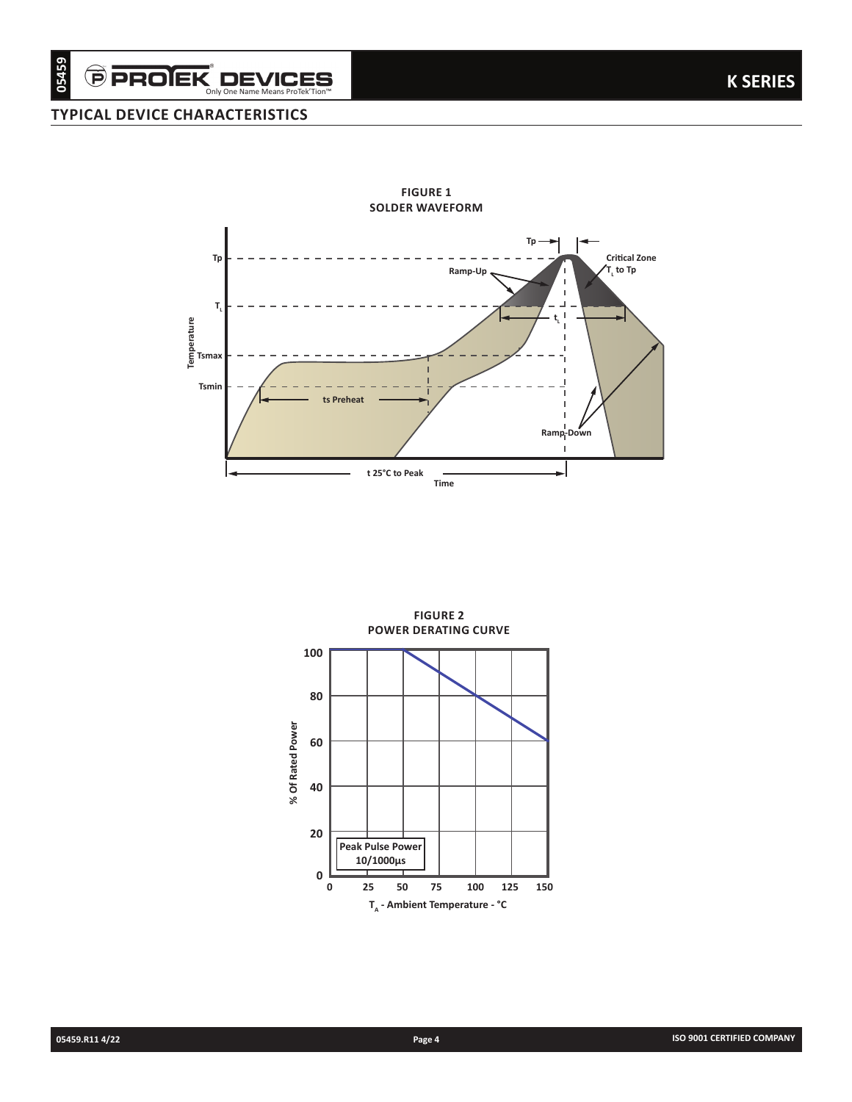Only One Name Means ProTek'Tion™

## **typical device characteristics**



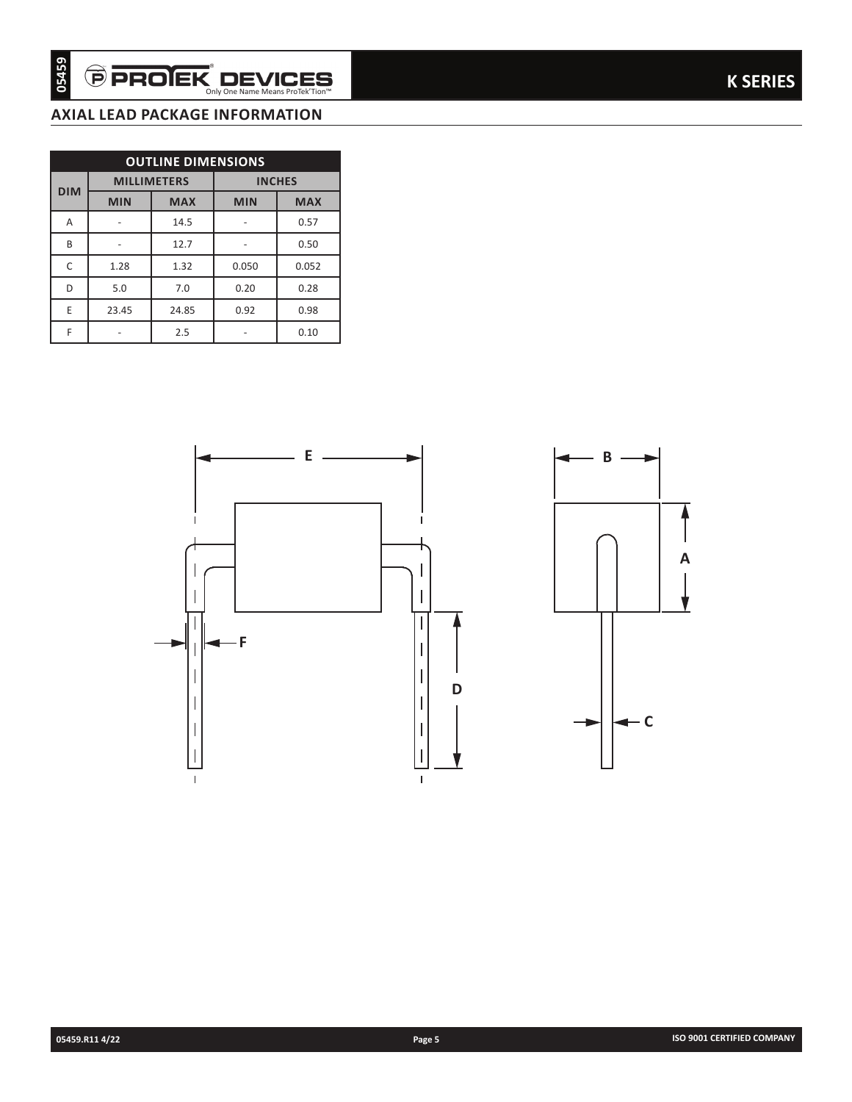## **AXIAL LEAD package information**

| <b>OUTLINE DIMENSIONS</b> |            |                    |               |            |  |
|---------------------------|------------|--------------------|---------------|------------|--|
| <b>DIM</b>                |            | <b>MILLIMETERS</b> | <b>INCHES</b> |            |  |
|                           | <b>MIN</b> | <b>MAX</b>         | <b>MIN</b>    | <b>MAX</b> |  |
| Α                         |            | 14.5               |               | 0.57       |  |
| B                         |            | 12.7               |               | 0.50       |  |
| C                         | 1.28       | 1.32               | 0.050         | 0.052      |  |
| D                         | 5.0        | 7.0                | 0.20          | 0.28       |  |
| E                         | 23.45      | 24.85              | 0.92          | 0.98       |  |
| F                         |            | 2.5                |               | 0.10       |  |